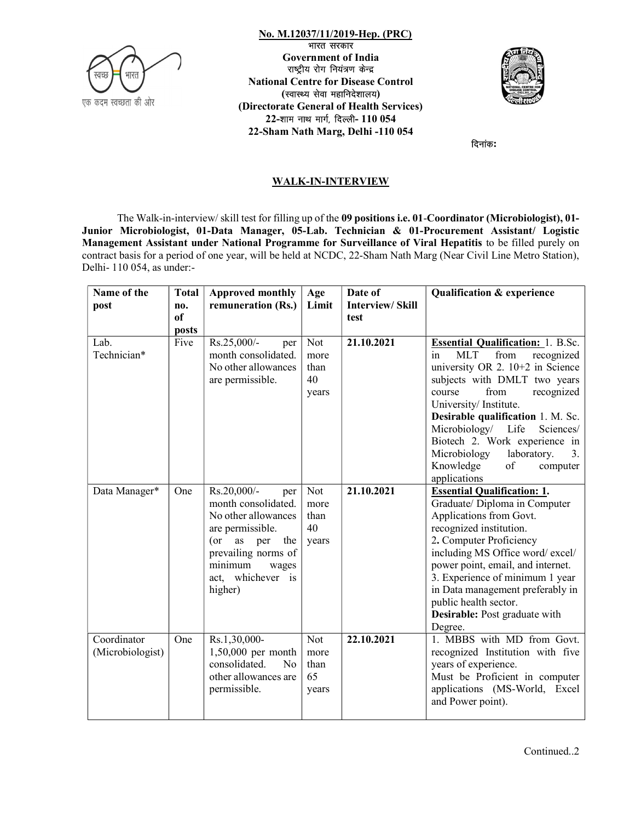

 No. M.12037/11/2019-Hep. (PRC) भारत सरकार Government of India<br>राष्ट्रीय रोग नियंत्रण केन्द्र .12037/11/2019-Hep. (PRC)<br>- भारत सरकार<br>अप्रद्रीय रोग नियंत्रण केन्द्र<br>Centre for Disease Control<br>स्वास्थ्य सेवा महानिदेशालय)<br>te General of Health Services) National Centre for Disease Control **M.12037/11/2019-Hep. (PRC)**<br>पारत सरकार<br>पारत सरकार<br>उपड़ीय रोग नियंत्रण केन्द्र<br>al Centre for Disease Control<br>(स्वास्थ्य सेवा महानिदेशालय)<br>ate General of Health Services)<br>शाम नाथ मार्ग, दिल्ली- 110 054<br>m Nath Marg, Delhi -(Directorate General of Health Services)  $22$ -शाम नाथ मार्ग, दिल्ली-  $110054$ 22-Sham Nath Marg, Delhi -110 054



दिनांक:

## WALK-IN-INTERVIEW

The Walk-in-interview/ skill test for filling up of the 09 positions i.e. 01-Coordinator (Microbiologist), 01- Junior Microbiologist, 01-Data Manager, 05-Lab. Technician & 01-Procurement Assistant/ Logistic Management Assistant under National Programme for Surveillance of Viral Hepatitis to be filled purely on contract basis for a period of one year, will be held at NCDC, 22-Sham Nath Marg (Near Civil Line Metro Station), Delhi- 110 054, as under:-

| Name of the                     | <b>Total</b>         | <b>Approved monthly</b>                                                                                                                                                                       | Age                                | Date of                        | <b>Qualification &amp; experience</b>                                                                                                                                                                                                                                                                                                                                                                                                                                                        |  |  |
|---------------------------------|----------------------|-----------------------------------------------------------------------------------------------------------------------------------------------------------------------------------------------|------------------------------------|--------------------------------|----------------------------------------------------------------------------------------------------------------------------------------------------------------------------------------------------------------------------------------------------------------------------------------------------------------------------------------------------------------------------------------------------------------------------------------------------------------------------------------------|--|--|
| post                            | no.<br><sub>of</sub> | remuneration (Rs.)                                                                                                                                                                            | Limit                              | <b>Interview/Skill</b><br>test |                                                                                                                                                                                                                                                                                                                                                                                                                                                                                              |  |  |
|                                 | posts                |                                                                                                                                                                                               |                                    |                                |                                                                                                                                                                                                                                                                                                                                                                                                                                                                                              |  |  |
| Lab.<br>Technician*             | Five                 | Rs.25,000/-<br>per<br>month consolidated.<br>No other allowances<br>are permissible.                                                                                                          | Not<br>more<br>than<br>40<br>years | 21.10.2021                     | <b>Essential Qualification: 1. B.Sc.</b><br><b>MLT</b><br>from<br>recognized<br>in<br>university OR 2. 10+2 in Science<br>subjects with DMLT two years<br>recognized<br>from<br>course<br>University/Institute.<br>Desirable qualification 1. M. Sc.<br>Microbiology/ Life<br>Sciences/<br>Biotech 2. Work experience in<br>Microbiology<br>laboratory.<br>3.<br>Knowledge<br>$% \left( \left( \mathcal{A},\mathcal{A}\right) \right) =\left( \mathcal{A},\mathcal{A}\right)$ of<br>computer |  |  |
|                                 |                      |                                                                                                                                                                                               |                                    |                                | applications                                                                                                                                                                                                                                                                                                                                                                                                                                                                                 |  |  |
| Data Manager*                   | One                  | Rs.20,000/-<br>per<br>month consolidated.<br>No other allowances<br>are permissible.<br>$($ or<br>as<br>per<br>the<br>prevailing norms of<br>minimum<br>wages<br>act, whichever is<br>higher) | Not<br>more<br>than<br>40<br>years | 21.10.2021                     | <b>Essential Qualification: 1.</b><br>Graduate/ Diploma in Computer<br>Applications from Govt.<br>recognized institution.<br>2. Computer Proficiency<br>including MS Office word/excel/<br>power point, email, and internet.<br>3. Experience of minimum 1 year<br>in Data management preferably in<br>public health sector.<br>Desirable: Post graduate with<br>Degree.                                                                                                                     |  |  |
| Coordinator<br>(Microbiologist) | One                  | Rs.1,30,000-<br>1,50,000 per month<br>consolidated.<br>N <sub>o</sub><br>other allowances are<br>permissible.                                                                                 | Not<br>more<br>than<br>65<br>years | 22.10.2021                     | 1. MBBS with MD from Govt.<br>recognized Institution with five<br>years of experience.<br>Must be Proficient in computer<br>applications (MS-World, Excel<br>and Power point).                                                                                                                                                                                                                                                                                                               |  |  |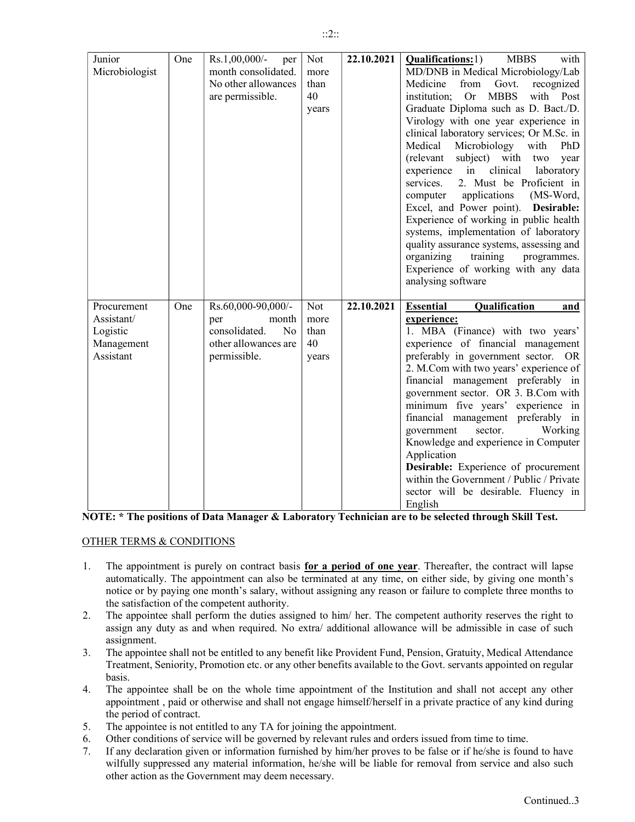| ason or failure to complete three months to                                                                                           |
|---------------------------------------------------------------------------------------------------------------------------------------|
| e competent authority reserves the right to<br>wance will be admissible in case of such                                               |
| und, Pension, Gratuity, Medical Attendance<br>e to the Govt. servants appointed on regular                                            |
| Institution and shall not accept any other<br>elf in a private practice of any kind during                                            |
| ıt.<br>orders issued from time to time.<br>ves to be false or if he/she is found to have<br>le for removal from service and also such |
| Continued 3                                                                                                                           |

sector will be desirable. Fluency in

- 2. The appointee shall perform the duties assigned to him/ her. The assign any duty as and when required. No extra/ additional allow
- assignment.
- 3. The appointee shall not be entitled to any benefit like Provident Fu Treatment, Seniority, Promotion etc. or any other benefits available basis.
- 4. The appointee shall be on the whole time appointment of the appointment, paid or otherwise and shall not engage himself/hers the period of contract.
- 5. The appointee is not entitled to any TA for joining the appointment.
- 6. Other conditions of service will be governed by relevant rules and
- 7. If any declaration given or information furnished by him/her provers wilfully suppressed any material information, he/she will be liable other action as the Government may deem necessary.

|             |     |                                 |       |            | subject) with<br>(relevant)<br>two year<br>clinical<br>experience in<br>laboratory<br>2. Must be Proficient in<br>services.<br>applications<br>(MS-Word,<br>computer<br>Excel, and Power point). Desirable:<br>Experience of working in public health<br>systems, implementation of laboratory<br>quality assurance systems, assessing and<br>organizing<br>training<br>programmes.<br>Experience of working with any data<br>analysing software |
|-------------|-----|---------------------------------|-------|------------|--------------------------------------------------------------------------------------------------------------------------------------------------------------------------------------------------------------------------------------------------------------------------------------------------------------------------------------------------------------------------------------------------------------------------------------------------|
| Procurement | One | Rs.60,000-90,000/-              | Not   | 22.10.2021 | Qualification<br><b>Essential</b><br>and                                                                                                                                                                                                                                                                                                                                                                                                         |
| Assistant/  |     | month<br>per                    | more  |            | experience:                                                                                                                                                                                                                                                                                                                                                                                                                                      |
| Logistic    |     | consolidated.<br>N <sub>o</sub> | than  |            | 1. MBA (Finance) with two years'                                                                                                                                                                                                                                                                                                                                                                                                                 |
| Management  |     | other allowances are            | 40    |            | experience of financial management                                                                                                                                                                                                                                                                                                                                                                                                               |
| Assistant   |     | permissible.                    | years |            | preferably in government sector. OR                                                                                                                                                                                                                                                                                                                                                                                                              |
|             |     |                                 |       |            | 2. M.Com with two years' experience of                                                                                                                                                                                                                                                                                                                                                                                                           |
|             |     |                                 |       |            | financial management preferably in                                                                                                                                                                                                                                                                                                                                                                                                               |
|             |     |                                 |       |            | government sector. OR 3. B.Com with                                                                                                                                                                                                                                                                                                                                                                                                              |
|             |     |                                 |       |            | minimum five years' experience in                                                                                                                                                                                                                                                                                                                                                                                                                |
|             |     |                                 |       |            | financial management preferably in                                                                                                                                                                                                                                                                                                                                                                                                               |
|             |     |                                 |       |            | sector.<br>Working<br>government                                                                                                                                                                                                                                                                                                                                                                                                                 |
|             |     |                                 |       |            | Knowledge and experience in Computer<br>Application                                                                                                                                                                                                                                                                                                                                                                                              |
|             |     |                                 |       |            | Desirable: Experience of procurement                                                                                                                                                                                                                                                                                                                                                                                                             |
|             |     |                                 |       |            | within the Government / Public / Private                                                                                                                                                                                                                                                                                                                                                                                                         |

English NOTE: \* The positions of Data Manager & Laboratory Technician are to be selected through Skill Test.

## OTHER TERMS & CONDITIONS

Junior

Microbiologist

22.10.2021 | Qualifications:1) MBBS with

MD/DNB in Medical Microbiology/Lab Medicine from Govt. recognized institution; Or MBBS with Post Graduate Diploma such as D. Bact./D. Virology with one year experience in clinical laboratory services; Or M.Sc. in Medical Microbiology with PhD

Not more than 40 years

One  $\vert$  Rs.1,00,000/- per

month consolidated. No other allowances are permissible.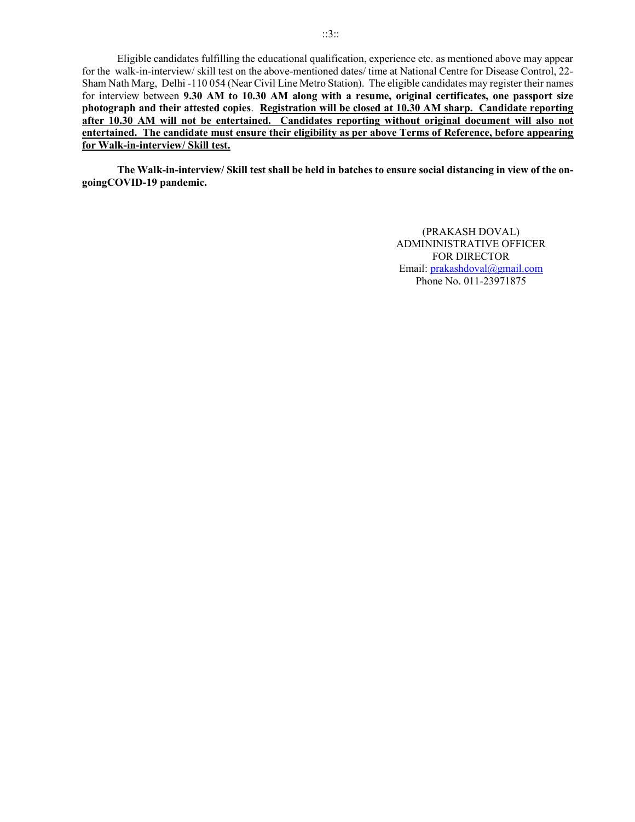Eligible candidates fulfilling the educational qualification, experience etc. as mentioned above may appear for the walk-in-interview/ skill test on the above-mentioned dates/ time at National Centre for Disease Control, 22- Sham Nath Marg, Delhi -110 054 (Near Civil Line Metro Station). The eligible candidates may register their names for interview between 9.30 AM to 10.30 AM along with a resume, original certificates, one passport size photograph and their attested copies. Registration will be closed at 10.30 AM sharp. Candidate reporting after 10.30 AM will not be entertained. Candidates reporting without original document will also not entertained. The candidate must ensure their eligibility as per above Terms of Reference, before appearing for Walk-in-interview/ Skill test.

 The Walk-in-interview/ Skill test shall be held in batches to ensure social distancing in view of the ongoingCOVID-19 pandemic.

> (PRAKASH DOVAL) ADMININISTRATIVE OFFICER FOR DIRECTOR Email: prakashdoval@gmail.com Phone No. 011-23971875